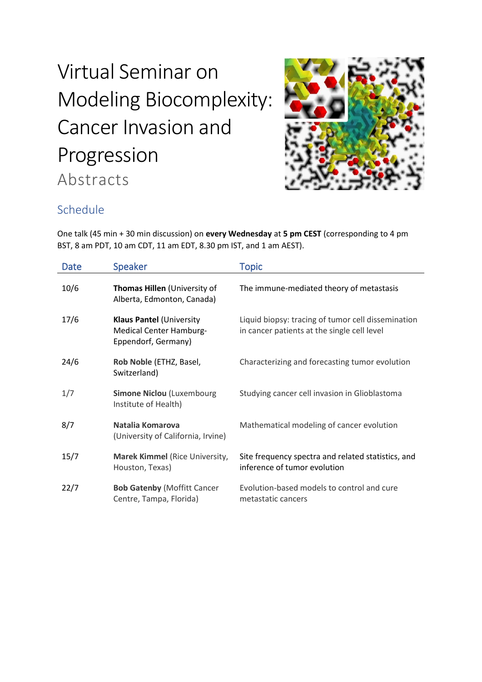# Virtual Seminar on Modeling Biocomplexity: Cancer Invasion and Progression Abstracts



# Schedule

One talk (45 min + 30 min discussion) on **every Wednesday** at **5 pm CEST** (corresponding to 4 pm BST, 8 am PDT, 10 am CDT, 11 am EDT, 8.30 pm IST, and 1 am AEST).

| <b>Date</b> | <b>Speaker</b>                                                                           | <b>Topic</b>                                                                                      |
|-------------|------------------------------------------------------------------------------------------|---------------------------------------------------------------------------------------------------|
| 10/6        | Thomas Hillen (University of<br>Alberta, Edmonton, Canada)                               | The immune-mediated theory of metastasis                                                          |
| 17/6        | <b>Klaus Pantel (University</b><br><b>Medical Center Hamburg-</b><br>Eppendorf, Germany) | Liquid biopsy: tracing of tumor cell dissemination<br>in cancer patients at the single cell level |
| 24/6        | Rob Noble (ETHZ, Basel,<br>Switzerland)                                                  | Characterizing and forecasting tumor evolution                                                    |
| 1/7         | <b>Simone Niclou (Luxembourg</b><br>Institute of Health)                                 | Studying cancer cell invasion in Glioblastoma                                                     |
| 8/7         | Natalia Komarova<br>(University of California, Irvine)                                   | Mathematical modeling of cancer evolution                                                         |
| 15/7        | Marek Kimmel (Rice University,<br>Houston, Texas)                                        | Site frequency spectra and related statistics, and<br>inference of tumor evolution                |
| 22/7        | <b>Bob Gatenby (Moffitt Cancer</b><br>Centre, Tampa, Florida)                            | Evolution-based models to control and cure<br>metastatic cancers                                  |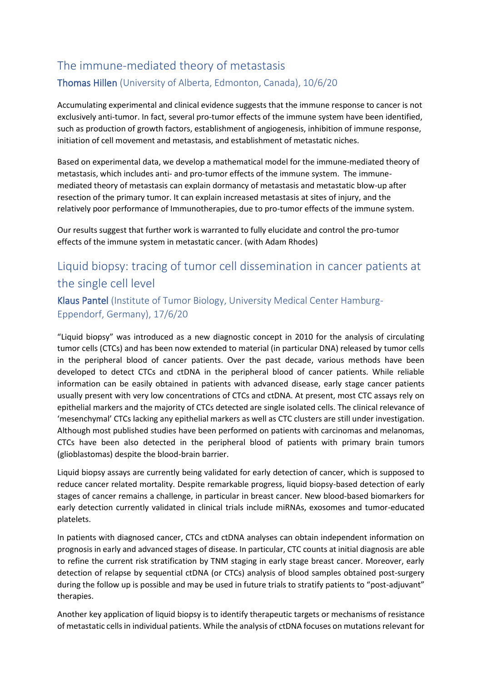# The immune-mediated theory of metastasis Thomas Hillen (University of Alberta, Edmonton, Canada), 10/6/20

Accumulating experimental and clinical evidence suggests that the immune response to cancer is not exclusively anti-tumor. In fact, several pro-tumor effects of the immune system have been identified, such as production of growth factors, establishment of angiogenesis, inhibition of immune response, initiation of cell movement and metastasis, and establishment of metastatic niches.

Based on experimental data, we develop a mathematical model for the immune-mediated theory of metastasis, which includes anti- and pro-tumor effects of the immune system. The immunemediated theory of metastasis can explain dormancy of metastasis and metastatic blow-up after resection of the primary tumor. It can explain increased metastasis at sites of injury, and the relatively poor performance of Immunotherapies, due to pro-tumor effects of the immune system.

Our results suggest that further work is warranted to fully elucidate and control the pro-tumor effects of the immune system in metastatic cancer. (with Adam Rhodes)

## Liquid biopsy: tracing of tumor cell dissemination in cancer patients at the single cell level

#### Klaus Pantel (Institute of Tumor Biology, University Medical Center Hamburg-Eppendorf, Germany), 17/6/20

"Liquid biopsy" was introduced as a new diagnostic concept in 2010 for the analysis of circulating tumor cells (CTCs) and has been now extended to material (in particular DNA) released by tumor cells in the peripheral blood of cancer patients. Over the past decade, various methods have been developed to detect CTCs and ctDNA in the peripheral blood of cancer patients. While reliable information can be easily obtained in patients with advanced disease, early stage cancer patients usually present with very low concentrations of CTCs and ctDNA. At present, most CTC assays rely on epithelial markers and the majority of CTCs detected are single isolated cells. The clinical relevance of 'mesenchymal' CTCs lacking any epithelial markers as well as CTC clusters are still under investigation. Although most published studies have been performed on patients with carcinomas and melanomas, CTCs have been also detected in the peripheral blood of patients with primary brain tumors (glioblastomas) despite the blood-brain barrier.

Liquid biopsy assays are currently being validated for early detection of cancer, which is supposed to reduce cancer related mortality. Despite remarkable progress, liquid biopsy-based detection of early stages of cancer remains a challenge, in particular in breast cancer. New blood-based biomarkers for early detection currently validated in clinical trials include miRNAs, exosomes and tumor-educated platelets.

In patients with diagnosed cancer, CTCs and ctDNA analyses can obtain independent information on prognosis in early and advanced stages of disease. In particular, CTC counts at initial diagnosis are able to refine the current risk stratification by TNM staging in early stage breast cancer. Moreover, early detection of relapse by sequential ctDNA (or CTCs) analysis of blood samples obtained post-surgery during the follow up is possible and may be used in future trials to stratify patients to "post-adjuvant" therapies.

Another key application of liquid biopsy is to identify therapeutic targets or mechanisms of resistance of metastatic cells in individual patients. While the analysis of ctDNA focuses on mutations relevant for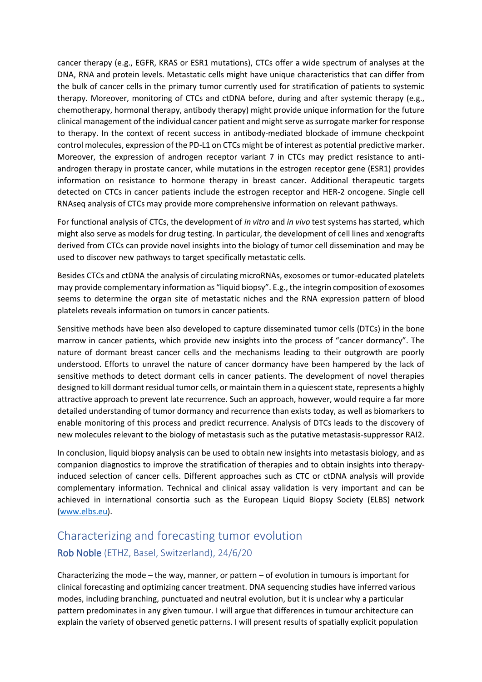cancer therapy (e.g., EGFR, KRAS or ESR1 mutations), CTCs offer a wide spectrum of analyses at the DNA, RNA and protein levels. Metastatic cells might have unique characteristics that can differ from the bulk of cancer cells in the primary tumor currently used for stratification of patients to systemic therapy. Moreover, monitoring of CTCs and ctDNA before, during and after systemic therapy (e.g., chemotherapy, hormonal therapy, antibody therapy) might provide unique information for the future clinical management of the individual cancer patient and might serve as surrogate marker for response to therapy. In the context of recent success in antibody-mediated blockade of immune checkpoint control molecules, expression of the PD-L1 on CTCs might be of interest as potential predictive marker. Moreover, the expression of androgen receptor variant 7 in CTCs may predict resistance to antiandrogen therapy in prostate cancer, while mutations in the estrogen receptor gene (ESR1) provides information on resistance to hormone therapy in breast cancer. Additional therapeutic targets detected on CTCs in cancer patients include the estrogen receptor and HER-2 oncogene. Single cell RNAseq analysis of CTCs may provide more comprehensive information on relevant pathways.

For functional analysis of CTCs, the development of *in vitro* and *in vivo* test systems has started, which might also serve as models for drug testing. In particular, the development of cell lines and xenografts derived from CTCs can provide novel insights into the biology of tumor cell dissemination and may be used to discover new pathways to target specifically metastatic cells.

Besides CTCs and ctDNA the analysis of circulating microRNAs, exosomes or tumor-educated platelets may provide complementary information as "liquid biopsy". E.g., the integrin composition of exosomes seems to determine the organ site of metastatic niches and the RNA expression pattern of blood platelets reveals information on tumors in cancer patients.

Sensitive methods have been also developed to capture disseminated tumor cells (DTCs) in the bone marrow in cancer patients, which provide new insights into the process of "cancer dormancy". The nature of dormant breast cancer cells and the mechanisms leading to their outgrowth are poorly understood. Efforts to unravel the nature of cancer dormancy have been hampered by the lack of sensitive methods to detect dormant cells in cancer patients. The development of novel therapies designed to kill dormant residual tumor cells, or maintain them in a quiescent state, represents a highly attractive approach to prevent late recurrence. Such an approach, however, would require a far more detailed understanding of tumor dormancy and recurrence than exists today, as well as biomarkers to enable monitoring of this process and predict recurrence. Analysis of DTCs leads to the discovery of new molecules relevant to the biology of metastasis such as the putative metastasis-suppressor RAI2.

In conclusion, liquid biopsy analysis can be used to obtain new insights into metastasis biology, and as companion diagnostics to improve the stratification of therapies and to obtain insights into therapyinduced selection of cancer cells. Different approaches such as CTC or ctDNA analysis will provide complementary information. Technical and clinical assay validation is very important and can be achieved in international consortia such as the European Liquid Biopsy Society (ELBS) network [\(www.elbs.eu\)](http://www.elbs.eu/).

### Characterizing and forecasting tumor evolution Rob Noble (ETHZ, Basel, Switzerland), 24/6/20

Characterizing the mode – the way, manner, or pattern – of evolution in tumours is important for clinical forecasting and optimizing cancer treatment. DNA sequencing studies have inferred various modes, including branching, punctuated and neutral evolution, but it is unclear why a particular pattern predominates in any given tumour. I will argue that differences in tumour architecture can explain the variety of observed genetic patterns. I will present results of spatially explicit population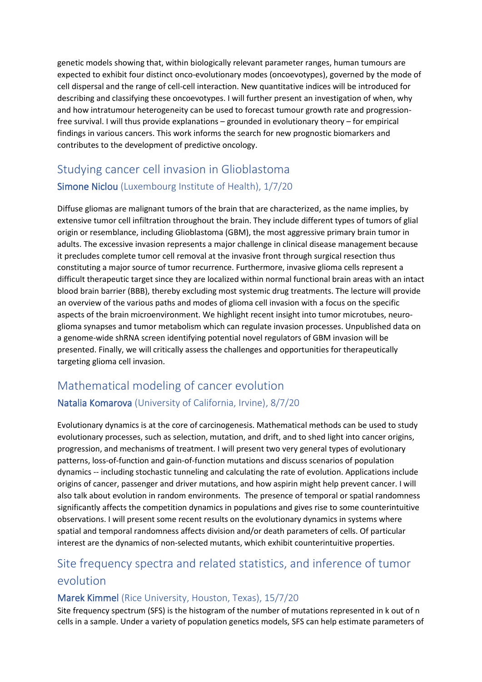genetic models showing that, within biologically relevant parameter ranges, human tumours are expected to exhibit four distinct onco-evolutionary modes (oncoevotypes), governed by the mode of cell dispersal and the range of cell-cell interaction. New quantitative indices will be introduced for describing and classifying these oncoevotypes. I will further present an investigation of when, why and how intratumour heterogeneity can be used to forecast tumour growth rate and progressionfree survival. I will thus provide explanations – grounded in evolutionary theory – for empirical findings in various cancers. This work informs the search for new prognostic biomarkers and contributes to the development of predictive oncology.

## Studying cancer cell invasion in Glioblastoma Simone Niclou (Luxembourg Institute of Health), 1/7/20

Diffuse gliomas are malignant tumors of the brain that are characterized, as the name implies, by extensive tumor cell infiltration throughout the brain. They include different types of tumors of glial origin or resemblance, including Glioblastoma (GBM), the most aggressive primary brain tumor in adults. The excessive invasion represents a major challenge in clinical disease management because it precludes complete tumor cell removal at the invasive front through surgical resection thus constituting a major source of tumor recurrence. Furthermore, invasive glioma cells represent a difficult therapeutic target since they are localized within normal functional brain areas with an intact blood brain barrier (BBB), thereby excluding most systemic drug treatments. The lecture will provide an overview of the various paths and modes of glioma cell invasion with a focus on the specific aspects of the brain microenvironment. We highlight recent insight into tumor microtubes, neuroglioma synapses and tumor metabolism which can regulate invasion processes. Unpublished data on a genome-wide shRNA screen identifying potential novel regulators of GBM invasion will be presented. Finally, we will critically assess the challenges and opportunities for therapeutically targeting glioma cell invasion.

#### Mathematical modeling of cancer evolution

#### Natalia Komarova (University of California, Irvine), 8/7/20

Evolutionary dynamics is at the core of carcinogenesis. Mathematical methods can be used to study evolutionary processes, such as selection, mutation, and drift, and to shed light into cancer origins, progression, and mechanisms of treatment. I will present two very general types of evolutionary patterns, loss-of-function and gain-of-function mutations and discuss scenarios of population dynamics -- including stochastic tunneling and calculating the rate of evolution. Applications include origins of cancer, passenger and driver mutations, and how aspirin might help prevent cancer. I will also talk about evolution in random environments. The presence of temporal or spatial randomness significantly affects the competition dynamics in populations and gives rise to some counterintuitive observations. I will present some recent results on the evolutionary dynamics in systems where spatial and temporal randomness affects division and/or death parameters of cells. Of particular interest are the dynamics of non-selected mutants, which exhibit counterintuitive properties.

### Site frequency spectra and related statistics, and inference of tumor evolution

#### Marek Kimmel (Rice University, Houston, Texas), 15/7/20

Site frequency spectrum (SFS) is the histogram of the number of mutations represented in k out of n cells in a sample. Under a variety of population genetics models, SFS can help estimate parameters of